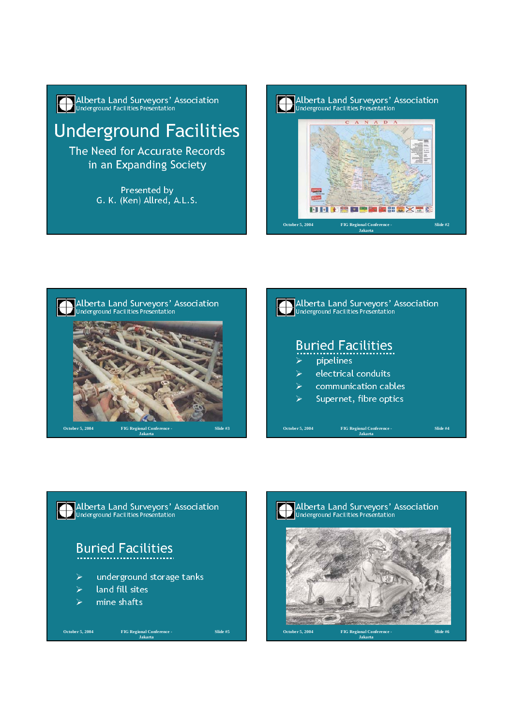







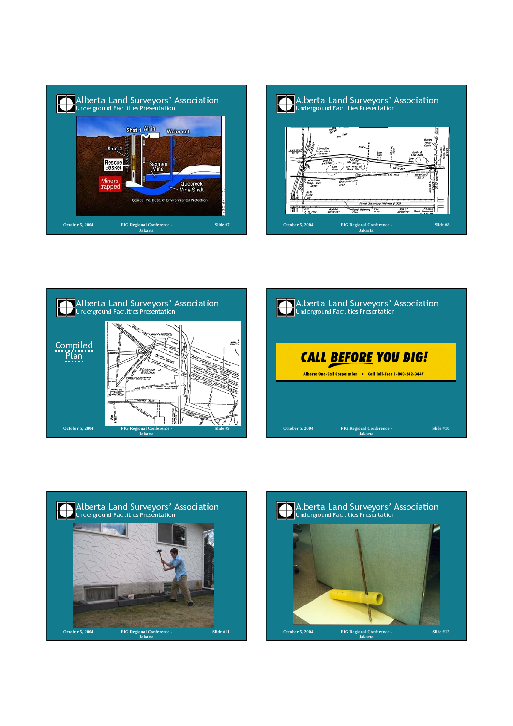









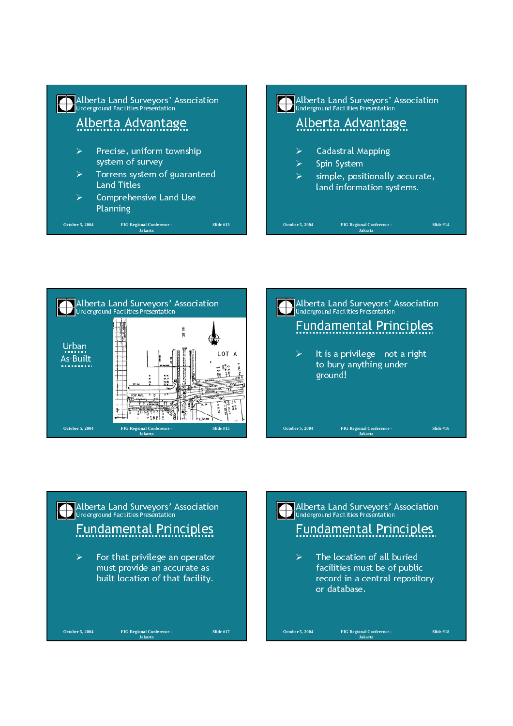## **Alberta Land Surveyors' Association**<br>Underground Facilities Presentation Alberta Advantage  $\triangleright$  Precise, uniform township system of survey  $\triangleright$  Torrens system of guaranteed Land Titles  $\triangleright$  Comprehensive Land Use Planning **Alberta Land Surveyors' Association**<br>Underground Facilities Presentation Alberta Advantage

**Slide #13**

**October 5, 2004 FIG Regional Conference - Jakarta**